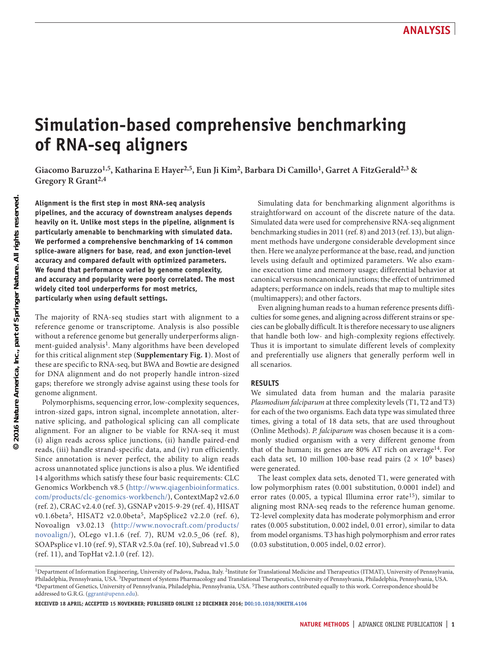# **Simulation-based comprehensive benchmarking of RNA-seq aligners**

**Giacomo Baruzzo1,5, Katharina E Hayer2,5, Eun Ji Kim2, Barbara Di Camillo1, Garret A FitzGerald2,3 & Gregory R Grant2,4**

**Alignment is the first step in most RNA-seq analysis pipelines, and the accuracy of downstream analyses depends heavily on it. Unlike most steps in the pipeline, alignment is particularly amenable to benchmarking with simulated data. We performed a comprehensive benchmarking of 14 common splice-aware aligners for base, read, and exon junction-level accuracy and compared default with optimized parameters. We found that performance varied by genome complexity, and accuracy and popularity were poorly correlated. The most widely cited tool underperforms for most metrics, particularly when using default settings.**

The majority of RNA-seq studies start with alignment to a reference genome or transcriptome. Analysis is also possible without a reference genome but generally underperforms align-ment-guided analysis<sup>[1](#page-4-0)</sup>. Many algorithms have been developed for this critical alignment step (**Supplementary Fig. 1**). Most of these are specific to RNA-seq, but BWA and Bowtie are designed for DNA alignment and do not properly handle intron-sized gaps; therefore we strongly advise against using these tools for genome alignment.

Polymorphisms, sequencing error, low-complexity sequences, intron-sized gaps, intron signal, incomplete annotation, alternative splicing, and pathological splicing can all complicate alignment. For an aligner to be viable for RNA-seq it must (i) align reads across splice junctions, (ii) handle paired-end reads, (iii) handle strand-specific data, and (iv) run efficiently. Since annotation is never perfect, the ability to align reads across unannotated splice junctions is also a plus. We identified 14 algorithms which satisfy these four basic requirements: CLC Genomics Workbench v8.5 [\(http://www.qiagenbioinformatics.](http://www.qiagenbioinformatics.com/products/clc-genomics-workbench) [com/products/clc-genomics-workbench/](http://www.qiagenbioinformatics.com/products/clc-genomics-workbench)), ContextMap2 v2.6.0 (ref. [2](#page-4-1)), CRAC v2.4.0 (ref. [3](#page-4-2)), GSNAP v2015-9-29 (ref. [4](#page-4-3)), HISAT v0.1.6beta<sup>[5](#page-4-4)</sup>, HISAT2 v2.0.0beta<sup>5</sup>, MapSplice2 v2.2.0 (ref. [6](#page-4-5)), Novoalign v3.02.13 ([http://www.novocraft.com/products/](http://www.novocraft.com/products/novoalign/) [novoalign/\)](http://www.novocraft.com/products/novoalign/), OLego v1.1.6 (ref. [7](#page-4-6)), RUM v2.0.5\_06 (ref. [8](#page-4-7)), SOAPsplice v1.10 (ref. [9](#page-4-8)), STAR v2.5.0a (ref. [10](#page-4-9)), Subread v1.5.0 (ref. [11\)](#page-4-10), and TopHat v2.1.0 (ref. [12\)](#page-4-11).

Simulating data for benchmarking alignment algorithms is straightforward on account of the discrete nature of the data. Simulated data were used for comprehensive RNA-seq alignment benchmarking studies in 2011 (ref. [8](#page-4-7)) and 2013 (ref. [13\)](#page-4-12), but alignment methods have undergone considerable development since then. Here we analyze performance at the base, read, and junction levels using default and optimized parameters. We also examine execution time and memory usage; differential behavior at canonical versus noncanonical junctions; the effect of untrimmed adapters; performance on indels, reads that map to multiple sites (multimappers); and other factors.

Even aligning human reads to a human reference presents difficulties for some genes, and aligning across different strains or species can be globally difficult. It is therefore necessary to use aligners that handle both low- and high-complexity regions effectively. Thus it is important to simulate different levels of complexity and preferentially use aligners that generally perform well in all scenarios.

## **RESULTS**

We simulated data from human and the malaria parasite *Plasmodium falciparum* at three complexity levels (T1, T2 and T3) for each of the two organisms. Each data type was simulated three times, giving a total of 18 data sets, that are used throughout (Online Methods). *P. falciparum* was chosen because it is a commonly studied organism with a very different genome from that of the human; its genes are 80% AT rich on average<sup>[14](#page-4-13)</sup>. For each data set, 10 million 100-base read pairs  $(2 \times 10^9$  bases) were generated.

The least complex data sets, denoted T1, were generated with low polymorphism rates (0.001 substitution, 0.0001 indel) and error rates (0.005, a typical Illumina error rate<sup>15</sup>), similar to aligning most RNA-seq reads to the reference human genome. T2-level complexity data has moderate polymorphism and error rates (0.005 substitution, 0.002 indel, 0.01 error), similar to data from model organisms. T3 has high polymorphism and error rates (0.03 substitution, 0.005 indel, 0.02 error).

<sup>&</sup>lt;sup>1</sup>Department of Information Engineering, University of Padova, Padua, Italy. <sup>2</sup>Institute for Translational Medicine and Therapeutics (ITMAT), University of Pennsylvania, Philadelphia, Pennsylvania, USA. <sup>3</sup>Department of Systems Pharmacology and Translational Therapeutics, University of Pennsylvania, Philadelphia, Pennsylvania, USA. 4Department of Genetics, University of Pennsylvania, USA. addressed to G.R.G. (ggrant@upenn.edu).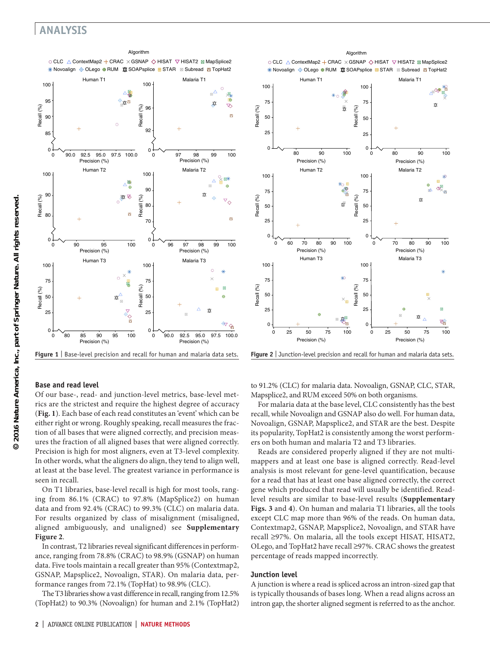# **Analysis**



# <span id="page-1-0"></span>**Base and read level**

Of our base-, read- and junction-level metrics, base-level metrics are the strictest and require the highest degree of accuracy (**[Fig. 1](#page-1-0)**). Each base of each read constitutes an 'event' which can be either right or wrong. Roughly speaking, recall measures the fraction of all bases that were aligned correctly, and precision measures the fraction of all aligned bases that were aligned correctly. Precision is high for most aligners, even at T3-level complexity. In other words, what the aligners do align, they tend to align well, at least at the base level. The greatest variance in performance is seen in recall.

On T1 libraries, base-level recall is high for most tools, ranging from 86.1% (CRAC) to 97.8% (MapSplice2) on human data and from 92.4% (CRAC) to 99.3% (CLC) on malaria data. For results organized by class of misalignment (misaligned, aligned ambiguously, and unaligned) see **Supplementary Figure 2**.

In contrast, T2 libraries reveal significant differences in performance, ranging from 78.8% (CRAC) to 98.9% (GSNAP) on human data. Five tools maintain a recall greater than 95% (Contextmap2, GSNAP, Mapsplice2, Novoalign, STAR). On malaria data, performance ranges from 72.1% (TopHat) to 98.9% (CLC).

The T3 libraries show a vast difference in recall, ranging from 12.5% (TopHat2) to 90.3% (Novoalign) for human and 2.1% (TopHat2)



<span id="page-1-1"></span>**Figure 2** | Junction-level precision and recall for human and malaria data sets.

to 91.2% (CLC) for malaria data. Novoalign, GSNAP, CLC, STAR, Mapsplice2, and RUM exceed 50% on both organisms.

For malaria data at the base level, CLC consistently has the best recall, while Novoalign and GSNAP also do well. For human data, Novoalign, GSNAP, Mapsplice2, and STAR are the best. Despite its popularity, TopHat2 is consistently among the worst performers on both human and malaria T2 and T3 libraries.

Reads are considered properly aligned if they are not multimappers and at least one base is aligned correctly. Read-level analysis is most relevant for gene-level quantification, because for a read that has at least one base aligned correctly, the correct gene which produced that read will usually be identified. Readlevel results are similar to base-level results (**Supplementary Figs. 3** and **4**). On human and malaria T1 libraries, all the tools except CLC map more than 96% of the reads. On human data, Contextmap2, GSNAP, Mapsplice2, Novoalign, and STAR have recall ≥97%. On malaria, all the tools except HISAT, HISAT2, OLego, and TopHat2 have recall ≥97%. CRAC shows the greatest percentage of reads mapped incorrectly.

#### **Junction level**

A junction is where a read is spliced across an intron-sized gap that is typically thousands of bases long. When a read aligns across an intron gap, the shorter aligned segment is referred to as the anchor.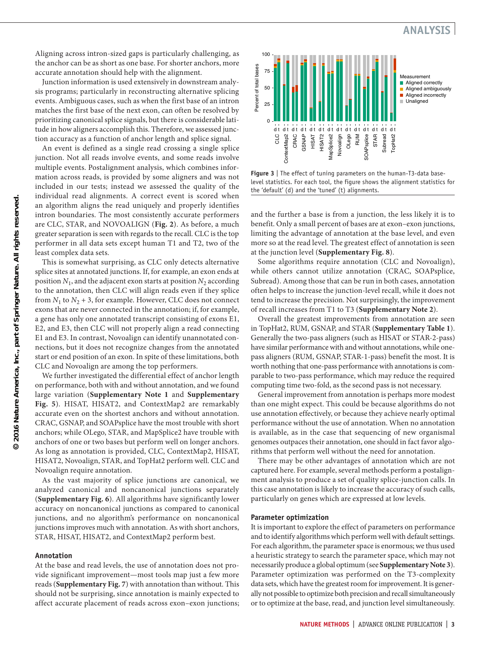# **Analysis**

Aligning across intron-sized gaps is particularly challenging, as the anchor can be as short as one base. For shorter anchors, more accurate annotation should help with the alignment.

Junction information is used extensively in downstream analysis programs; particularly in reconstructing alternative splicing events. Ambiguous cases, such as when the first base of an intron matches the first base of the next exon, can often be resolved by prioritizing canonical splice signals, but there is considerable latitude in how aligners accomplish this. Therefore, we assessed junction accuracy as a function of anchor length and splice signal.

An event is defined as a single read crossing a single splice junction. Not all reads involve events, and some reads involve multiple events. Postalignment analysis, which combines information across reads, is provided by some aligners and was not included in our tests; instead we assessed the quality of the individual read alignments. A correct event is scored when an algorithm aligns the read uniquely and properly identifies intron boundaries. The most consistently accurate performers are CLC, STAR, and NOVOALIGN (**[Fig. 2](#page-1-1)**). As before, a much greater separation is seen with regards to the recall. CLC is the top performer in all data sets except human T1 and T2, two of the least complex data sets.

This is somewhat surprising, as CLC only detects alternative splice sites at annotated junctions. If, for example, an exon ends at position  $N_1$ , and the adjacent exon starts at position  $N_2$  according to the annotation, then CLC will align reads even if they splice from  $N_1$  to  $N_2$  + 3, for example. However, CLC does not connect exons that are never connected in the annotation; if, for example, a gene has only one annotated transcript consisting of exons E1, E2, and E3, then CLC will not properly align a read connecting E1 and E3. In contrast, Novoalign can identify unannotated connections, but it does not recognize changes from the annotated start or end position of an exon. In spite of these limitations, both CLC and Novoalign are among the top performers.

We further investigated the differential effect of anchor length on performance, both with and without annotation, and we found large variation (**Supplementary Note 1** and **Supplementary Fig. 5**). HISAT, HISAT2, and ContextMap2 are remarkably accurate even on the shortest anchors and without annotation. CRAC, GSNAP, and SOAPsplice have the most trouble with short anchors; while OLego, STAR, and MapSplice2 have trouble with anchors of one or two bases but perform well on longer anchors. As long as annotation is provided, CLC, ContextMap2, HISAT, HISAT2, Novoalign, STAR, and TopHat2 perform well. CLC and Novoalign require annotation.

As the vast majority of splice junctions are canonical, we analyzed canonical and noncanonical junctions separately (**Supplementary Fig. 6**). All algorithms have significantly lower accuracy on noncanonical junctions as compared to canonical junctions, and no algorithm's performance on noncanonical junctions improves much with annotation. As with short anchors, STAR, HISAT, HISAT2, and ContextMap2 perform best.

## **Annotation**

At the base and read levels, the use of annotation does not provide significant improvement—most tools map just a few more reads (**Supplementary Fig. 7**) with annotation than without. This should not be surprising, since annotation is mainly expected to affect accurate placement of reads across exon–exon junctions;



<span id="page-2-0"></span>**Figure 3** | The effect of tuning parameters on the human-T3-data baselevel statistics. For each tool, the figure shows the alignment statistics for the 'default' (d) and the 'tuned' (t) alignments.

and the further a base is from a junction, the less likely it is to benefit. Only a small percent of bases are at exon–exon junctions, limiting the advantage of annotation at the base level, and even more so at the read level. The greatest effect of annotation is seen at the junction level (**Supplementary Fig. 8**).

Some algorithms require annotation (CLC and Novoalign), while others cannot utilize annotation (CRAC, SOAPsplice, Subread). Among those that can be run in both cases, annotation often helps to increase the junction-level recall, while it does not tend to increase the precision. Not surprisingly, the improvement of recall increases from T1 to T3 (**Supplementary Note 2**).

Overall the greatest improvements from annotation are seen in TopHat2, RUM, GSNAP, and STAR (**Supplementary Table 1**). Generally the two-pass aligners (such as HISAT or STAR-2-pass) have similar performance with and without annotations, while onepass aligners (RUM, GSNAP, STAR-1-pass) benefit the most. It is worth nothing that one-pass performance with annotations is comparable to two-pass performance, which may reduce the required computing time two-fold, as the second pass is not necessary.

General improvement from annotation is perhaps more modest than one might expect. This could be because algorithms do not use annotation effectively, or because they achieve nearly optimal performance without the use of annotation. When no annotation is available, as in the case that sequencing of new organismal genomes outpaces their annotation, one should in fact favor algorithms that perform well without the need for annotation.

There may be other advantages of annotation which are not captured here. For example, several methods perform a postalignment analysis to produce a set of quality splice-junction calls. In this case annotation is likely to increase the accuracy of such calls, particularly on genes which are expressed at low levels.

#### **Parameter optimization**

It is important to explore the effect of parameters on performance and to identify algorithms which perform well with default settings. For each algorithm, the parameter space is enormous; we thus used a heuristic strategy to search the parameter space, which may not necessarily produce a global optimum (see **Supplementary Note 3**). Parameter optimization was performed on the T3-complexity data sets, which have the greatest room for improvement. It is generally not possible to optimize both precision and recall simultaneously or to optimize the simula parameter on the human-13-data base-<br>Figure 3 ). The effect of tuning parameters on the human-13-data base-<br>Figure 3 ). The effect of tuning parameters on the human-13-data base-<br>Figure 3 ). The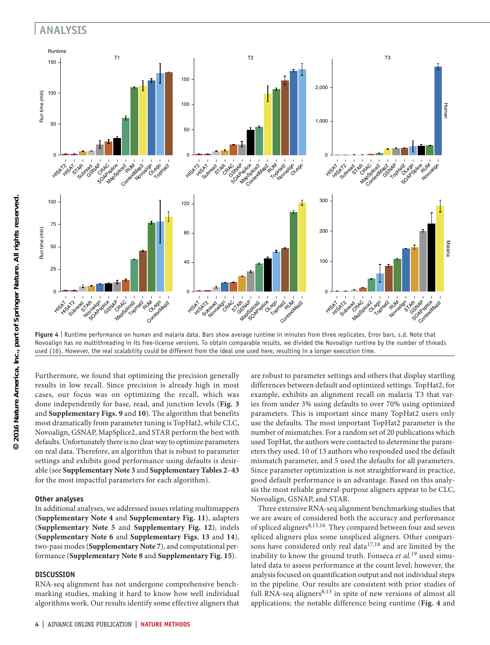# **Analysis**



<span id="page-3-0"></span>**Figure 4** | Runtime performance on human and malaria data. Bars show average runtime in minutes from three replicates. Error bars, s.d. Note that Novoalign has no multithreading in its free-license versions. To obtain comparable results, we divided the Novoalign runtime by the number of threads used (16). However, the real scalability could be different from the ideal one used here, resulting in a longer execution time.

Furthermore, we found that optimizing the precision generally results in low recall. Since precision is already high in most cases, our focus was on optimizing the recall, which was done independently for base, read, and junction levels (**[Fig. 3](#page-2-0)** and **Supplementary Figs. 9** and **10**). The algorithm that benefits most dramatically from parameter tuning is TopHat2, while CLC, Novoalign, GSNAP, MapSplice2, and STAR perform the best with defaults. Unfortunately there is no clear way to optimize parameters on real data. Therefore, an algorithm that is robust to parameter settings and exhibits good performance using defaults is desirable (see **Supplementary Note 3** and **Supplementary Tables 2**–**43** for the most impactful parameters for each algorithm).

## **Other analyses**

In additional analyses, we addressed issues relating multimappers (**Supplementary Note 4** and **Supplementary Fig. 11**), adapters (**Supplementary Note 5** and **Supplementary Fig. 12**), indels (**Supplementary Note 6** and **Supplementary Figs. 13** and **14**), two-pass modes (**Supplementary Note 7**), and computational performance (**Supplementary Note 8** and **Supplementary Fig. 15**).

# **DISCUSSION**

RNA-seq alignment has not undergone comprehensive benchmarking studies, making it hard to know how well individual algorithms work. Our results identify some effective aligners that are robust to parameter settings and others that display startling differences between default and optimized settings. TopHat2, for example, exhibits an alignment recall on malaria T3 that varies from under 3% using defaults to over 70% using optimized parameters. This is important since many TopHat2 users only use the defaults. The most important TopHat2 parameter is the number of mismatches. For a random set of 20 publications which used TopHat, the authors were contacted to determine the parameters they used. 10 of 13 authors who responded used the default mismatch parameter, and 5 used the defaults for all parameters. Since parameter optimization is not straightforward in practice, good default performance is an advantage. Based on this analysis the most reliable general-purpose aligners appear to be CLC, Novoalign, GSNAP, and STAR.

Three extensive RNA-seq alignment benchmarking studies that we are aware of considered both the accuracy and performance of spliced aligners<sup>[8,](#page-4-7)[13,](#page-4-12)[16](#page-4-15)</sup>. They compared between four and seven spliced aligners plus some unspliced aligners. Other compari-sons have considered only real data<sup>[17,](#page-4-16)18</sup> and are limited by the inability to know the ground truth. Fonseca *et al.*[19](#page-4-18) used simulated data to assess performance at the count level; however, the analysis focused on quantification output and not individual steps in the pipeline. Our results are consistent with prior studies of full RNA-seq aligners $8,13$  $8,13$  in spite of new versions of almost all applications; the notable difference being runtime (**[Fig. 4](#page-3-0)** and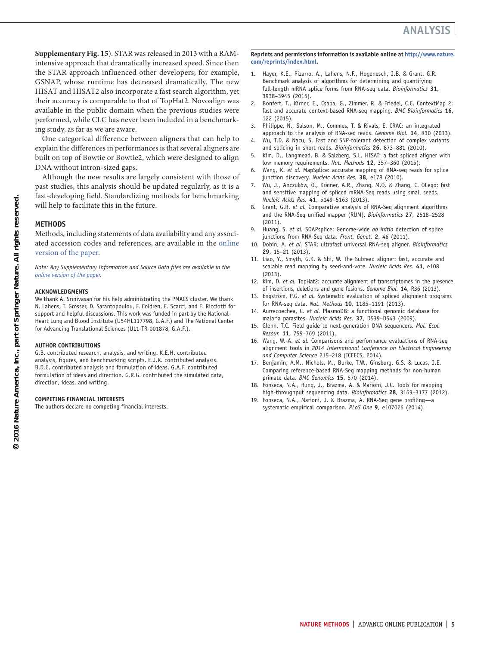**Supplementary Fig. 15**). STAR was released in 2013 with a RAMintensive approach that dramatically increased speed. Since then the STAR approach influenced other developers; for example, GSNAP, whose runtime has decreased dramatically. The new HISAT and HISAT2 also incorporate a fast search algorithm, yet their accuracy is comparable to that of TopHat2. Novoalign was available in the public domain when the previous studies were performed, while CLC has never been included in a benchmarking study, as far as we are aware.

One categorical difference between aligners that can help to explain the differences in performances is that several aligners are built on top of Bowtie or Bowtie2, which were designed to align DNA without intron-sized gaps.

Although the new results are largely consistent with those of past studies, this analysis should be updated regularly, as it is a fast-developing field. Standardizing methods for benchmarking will help to facilitate this in the future.

## **Methods**

Methods, including statements of data availability and any associated accession codes and references, are available in the [online](http://dx.doi.org/10.1038/nmeth.4106)  [version of the paper](http://dx.doi.org/10.1038/nmeth.4106).

*Note: Any Supplementary Information and Source Data files are available in the [online version of the paper](http://dx.doi.org/10.1038/nmeth.4106).*

#### **Acknowledgments**

We thank A. Srinivasan for his help administrating the PMACS cluster. We thank N. Lahens, T. Grosser, D. Sarantopoulou, F. Coldren, E. Scarci, and E. Ricciotti for support and helpful discussions. This work was funded in part by the National Heart Lung and Blood Institute (U54HL117798, G.A.F.) and The National Center for Advancing Translational Sciences (UL1-TR-001878, G.A.F.).

#### **AUTHOR CONTRIBUTIONS**

G.B. contributed research, analysis, and writing. K.E.H. contributed analysis, figures, and benchmarking scripts. E.J.K. contributed analysis. B.D.C. contributed analysis and formulation of ideas. G.A.F. contributed formulation of ideas and direction. G.R.G. contributed the simulated data, direction, ideas, and writing.

#### **COMPETING FINANCIAL INTERESTS**

The authors declare no competing financial interests.

#### **Reprints and permissions information is available online at [http://www.nature.](http://www.nature.com/reprints/index.html) [com/reprints/index.html.](http://www.nature.com/reprints/index.html)**

- <span id="page-4-0"></span>1. Hayer, K.E., Pizarro, A., Lahens, N.F., Hogenesch, J.B. & Grant, G.R. Benchmark analysis of algorithms for determining and quantifying full-length mRNA splice forms from RNA-seq data. *Bioinformatics* **31**, 3938–3945 (2015).
- <span id="page-4-1"></span>2. Bonfert, T., Kirner, E., Csaba, G., Zimmer, R. & Friedel, C.C. ContextMap 2: fast and accurate context-based RNA-seq mapping. *BMC Bioinformatics* **16**, 122 (2015).
- <span id="page-4-2"></span>3. Philippe, N., Salson, M., Commes, T. & Rivals, E. CRAC: an integrated approach to the analysis of RNA-seq reads. *Genome Biol.* **14**, R30 (2013).
- <span id="page-4-3"></span>4. Wu, T.D. & Nacu, S. Fast and SNP-tolerant detection of complex variants and splicing in short reads. *Bioinformatics* **26**, 873–881 (2010).
- <span id="page-4-4"></span>5. Kim, D., Langmead, B. & Salzberg, S.L. HISAT: a fast spliced aligner with low memory requirements. *Nat. Methods* **12**, 357–360 (2015).
- <span id="page-4-5"></span>6. Wang, K. *et al.* MapSplice: accurate mapping of RNA-seq reads for splice junction discovery. *Nucleic Acids Res.* **38**, e178 (2010).
- <span id="page-4-6"></span>7. Wu, J., Anczuków, O., Krainer, A.R., Zhang, M.Q. & Zhang, C. OLego: fast and sensitive mapping of spliced mRNA-Seq reads using small seeds. *Nucleic Acids Res.* **41**, 5149–5163 (2013).
- <span id="page-4-7"></span>8. Grant, G.R. *et al.* Comparative analysis of RNA-Seq alignment algorithms and the RNA-Seq unified mapper (RUM). *Bioinformatics* **27**, 2518–2528 (2011).
- <span id="page-4-8"></span>9. Huang, S. *et al.* SOAPsplice: Genome-wide *ab initio* detection of splice junctions from RNA-Seq data. *Front. Genet.* **2**, 46 (2011).
- <span id="page-4-9"></span>10. Dobin, A. *et al.* STAR: ultrafast universal RNA-seq aligner. *Bioinformatics* **29**, 15–21 (2013).
- <span id="page-4-10"></span>11. Liao, Y., Smyth, G.K. & Shi, W. The Subread aligner: fast, accurate and scalable read mapping by seed-and-vote. *Nucleic Acids Res.* **41**, e108 (2013).
- <span id="page-4-11"></span>12. Kim, D. *et al.* TopHat2: accurate alignment of transcriptomes in the presence of insertions, deletions and gene fusions. *Genome Biol.* **14**, R36 (2013).
- <span id="page-4-12"></span>13. Engström, P.G. *et al.* Systematic evaluation of spliced alignment programs for RNA-seq data. *Nat. Methods* **10**, 1185–1191 (2013).
- <span id="page-4-13"></span>14. Aurrecoechea, C. *et al.* PlasmoDB: a functional genomic database for malaria parasites. *Nucleic Acids Res.* **37**, D539–D543 (2009).
- <span id="page-4-14"></span>15. Glenn, T.C. Field guide to next-generation DNA sequencers. *Mol. Ecol. Resour.* **11**, 759–769 (2011).
- <span id="page-4-15"></span>16. Wang, W.-A. *et al.* Comparisons and performance evaluations of RNA-seq alignment tools in *2014 International Conference on Electrical Engineering and Computer Science* 215–218 (ICEECS, 2014).
- <span id="page-4-16"></span>17. Benjamin, A.M., Nichols, M., Burke, T.W., Ginsburg, G.S. & Lucas, J.E. Comparing reference-based RNA-Seq mapping methods for non-human primate data. *BMC Genomics* **15**, 570 (2014).
- <span id="page-4-17"></span>18. Fonseca, N.A., Rung, J., Brazma, A. & Marioni, J.C. Tools for mapping high-throughput sequencing data. *Bioinformatics* **28**, 3169–3177 (2012).
- <span id="page-4-18"></span>19. Fonseca, N.A., Marioni, J. & Brazma, A. RNA-Seq gene profiling—a systematic empirical comparison. *PLoS One* **9**, e107026 (2014).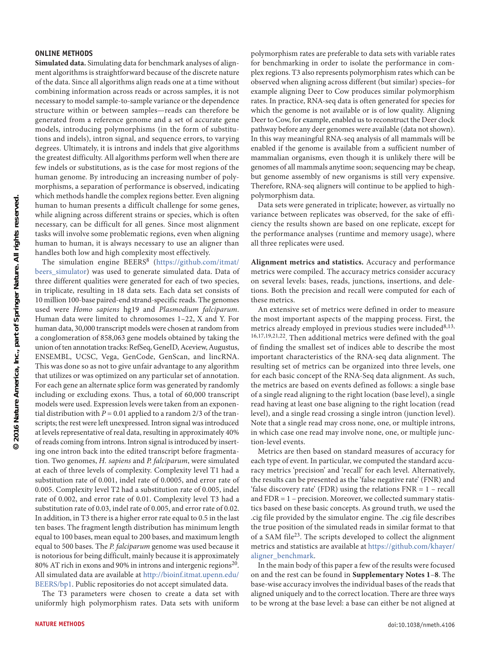#### **ONLINE METHODS**

**Simulated data.** Simulating data for benchmark analyses of alignment algorithms is straightforward because of the discrete nature of the data. Since all algorithms align reads one at a time without combining information across reads or across samples, it is not necessary to model sample-to-sample variance or the dependence structure within or between samples—reads can therefore be generated from a reference genome and a set of accurate gene models, introducing polymorphisms (in the form of substitutions and indels), intron signal, and sequence errors, to varying degrees. Ultimately, it is introns and indels that give algorithms the greatest difficulty. All algorithms perform well when there are few indels or substitutions, as is the case for most regions of the human genome. By introducing an increasing number of polymorphisms, a separation of performance is observed, indicating which methods handle the complex regions better. Even aligning human to human presents a difficult challenge for some genes, while aligning across different strains or species, which is often necessary, can be difficult for all genes. Since most alignment tasks will involve some problematic regions, even when aligning human to human, it is always necessary to use an aligner than handles both low and high complexity most effectively.

The simulation engine BEERS<sup>[8](#page-4-7)</sup> [\(https://github.com/itmat/](https://github.com/itmat/beers_simulator) [beers\\_simulator\)](https://github.com/itmat/beers_simulator) was used to generate simulated data. Data of three different qualities were generated for each of two species, in triplicate, resulting in 18 data sets. Each data set consists of 10 million 100-base paired-end strand-specific reads. The genomes used were *Homo sapiens* hg19 and *Plasmodium falciparum*. Human data were limited to chromosomes 1–22, X and Y. For human data, 30,000 transcript models were chosen at random from a conglomeration of 858,063 gene models obtained by taking the union of ten annotation tracks: RefSeq, GeneID, Aceview, Augustus, ENSEMBL, UCSC, Vega, GenCode, GenScan, and lincRNA. This was done so as not to give unfair advantage to any algorithm that utilizes or was optimized on any particular set of annotation. For each gene an alternate splice form was generated by randomly including or excluding exons. Thus, a total of 60,000 transcript models were used. Expression levels were taken from an exponential distribution with  $P = 0.01$  applied to a random 2/3 of the transcripts; the rest were left unexpressed. Intron signal was introduced at levels representative of real data, resulting in approximately 40% of reads coming from introns. Intron signal is introduced by inserting one intron back into the edited transcript before fragmentation. Two genomes, *H. sapiens* and *P. falciparum*, were simulated at each of three levels of complexity. Complexity level T1 had a substitution rate of 0.001, indel rate of 0.0005, and error rate of 0.005. Complexity level T2 had a substitution rate of 0.005, indel rate of 0.002, and error rate of 0.01. Complexity level T3 had a substitution rate of 0.03, indel rate of 0.005, and error rate of 0.02. In addition, in T3 there is a higher error rate equal to 0.5 in the last ten bases. The fragment length distribution has minimum length equal to 100 bases, mean equal to 200 bases, and maximum length equal to 500 bases. The *P. falciparum* genome was used because it is notorious for being difficult, mainly because it is approximately 80% AT rich in exons and 90% in introns and intergenic regions<sup>20</sup>. All simulated data are available at [http://bioinf.itmat.upenn.edu/](http://bioinf.itmat.upenn.edu/BEERS/bp1) [BEERS/bp1](http://bioinf.itmat.upenn.edu/BEERS/bp1). Public repositories do not accept simulated data.

The T3 parameters were chosen to create a data set with uniformly high polymorphism rates. Data sets with uniform polymorphism rates are preferable to data sets with variable rates for benchmarking in order to isolate the performance in complex regions. T3 also represents polymorphism rates which can be observed when aligning across different (but similar) species–for example aligning Deer to Cow produces similar polymorphism rates. In practice, RNA-seq data is often generated for species for which the genome is not available or is of low quality. Aligning Deer to Cow, for example, enabled us to reconstruct the Deer clock pathway before any deer genomes were available (data not shown). In this way meaningful RNA-seq analysis of all mammals will be enabled if the genome is available from a sufficient number of mammalian organisms, even though it is unlikely there will be genomes of all mammals anytime soon; sequencing may be cheap, but genome assembly of new organisms is still very expensive. Therefore, RNA-seq aligners will continue to be applied to highpolymorphism data.

Data sets were generated in triplicate; however, as virtually no variance between replicates was observed, for the sake of efficiency the results shown are based on one replicate, except for the performance analyses (runtime and memory usage), where all three replicates were used.

**Alignment metrics and statistics.** Accuracy and performance metrics were compiled. The accuracy metrics consider accuracy on several levels: bases, reads, junctions, insertions, and deletions. Both the precision and recall were computed for each of these metrics.

An extensive set of metrics were defined in order to measure the most important aspects of the mapping process. First, the metrics already employed in previous studies were included $8,13$  $8,13$ , [16,](#page-4-15)[17,](#page-4-16)[19,](#page-4-18)[21,22](#page-8-1). Then additional metrics were defined with the goal of finding the smallest set of indices able to describe the most important characteristics of the RNA-seq data alignment. The resulting set of metrics can be organized into three levels, one for each basic concept of the RNA-Seq data alignment. As such, the metrics are based on events defined as follows: a single base of a single read aligning to the right location (base level), a single read having at least one base aligning to the right location (read level), and a single read crossing a single intron (junction level). Note that a single read may cross none, one, or multiple introns, in which case one read may involve none, one, or multiple junction-level events.

Metrics are then based on standard measures of accuracy for each type of event. In particular, we computed the standard accuracy metrics 'precision' and 'recall' for each level. Alternatively, the results can be presented as the 'false negative rate' (FNR) and 'false discovery rate' (FDR) using the relations  $FNR = 1 - recall$ and FDR = 1 – precision. Moreover, we collected summary statistics based on these basic concepts. As ground truth, we used the .cig file provided by the simulator engine. The .cig file describes the true position of the simulated reads in similar format to that of a SAM file[23.](#page-8-2) The scripts developed to collect the alignment metrics and statistics are available at [https://github.com/khayer/](https://github.com/khayer/aligner_benchmark) [aligner\\_benchmark](https://github.com/khayer/aligner_benchmark).

In the main body of this paper a few of the results were focused on and the rest can be found in **Supplementary Notes 1**–**8**. The base-wise accuracy involves the individual bases of the reads that aligned uniquely and to the correct location. There are three ways to be wrong at the base level: a base can either be not aligned at

**© 2016 Nature America, Inc., part of Springer Nature. All rights reserved.**

2016 Nature America, Inc., part of Springer Nature. All rights reserved.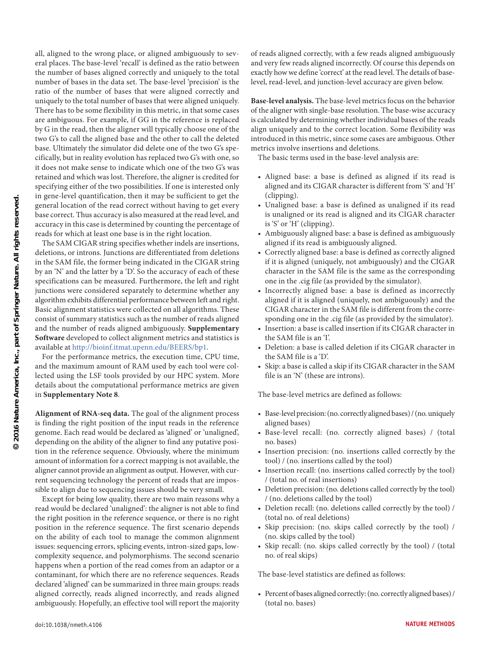all, aligned to the wrong place, or aligned ambiguously to several places. The base-level 'recall' is defined as the ratio between the number of bases aligned correctly and uniquely to the total number of bases in the data set. The base-level 'precision' is the ratio of the number of bases that were aligned correctly and uniquely to the total number of bases that were aligned uniquely. There has to be some flexibility in this metric, in that some cases are ambiguous. For example, if GG in the reference is replaced by G in the read, then the aligner will typically choose one of the two G's to call the aligned base and the other to call the deleted base. Ultimately the simulator did delete one of the two G's specifically, but in reality evolution has replaced two G's with one, so it does not make sense to indicate which one of the two G's was retained and which was lost. Therefore, the aligner is credited for specifying either of the two possibilities. If one is interested only in gene-level quantification, then it may be sufficient to get the general location of the read correct without having to get every base correct. Thus accuracy is also measured at the read level, and accuracy in this case is determined by counting the percentage of reads for which at least one base is in the right location.

The SAM CIGAR string specifies whether indels are insertions, deletions, or introns. Junctions are differentiated from deletions in the SAM file, the former being indicated in the CIGAR string by an 'N' and the latter by a 'D'. So the accuracy of each of these specifications can be measured. Furthermore, the left and right junctions were considered separately to determine whether any algorithm exhibits differential performance between left and right. Basic alignment statistics were collected on all algorithms. These consist of summary statistics such as the number of reads aligned and the number of reads aligned ambiguously. **Supplementary Software** developed to collect alignment metrics and statistics is available at [http://bioinf.itmat.upenn.edu/BEERS/bp1.](http://bioinf.itmat.upenn.edu/BEERS/bp1)

For the performance metrics, the execution time, CPU time, and the maximum amount of RAM used by each tool were collected using the LSF tools provided by our HPC system. More details about the computational performance metrics are given in **Supplementary Note 8**.

**Alignment of RNA-seq data.** The goal of the alignment process is finding the right position of the input reads in the reference genome. Each read would be declared as 'aligned' or 'unaligned', depending on the ability of the aligner to find any putative position in the reference sequence. Obviously, where the minimum amount of information for a correct mapping is not available, the aligner cannot provide an alignment as output. However, with current sequencing technology the percent of reads that are impossible to align due to sequencing issues should be very small.

Except for being low quality, there are two main reasons why a read would be declared 'unaligned': the aligner is not able to find the right position in the reference sequence, or there is no right position in the reference sequence. The first scenario depends on the ability of each tool to manage the common alignment issues: sequencing errors, splicing events, intron-sized gaps, lowcomplexity sequence, and polymorphisms. The second scenario happens when a portion of the read comes from an adaptor or a contaminant, for which there are no reference sequences. Reads declared 'aligned' can be summarized in three main groups: reads aligned correctly, reads aligned incorrectly, and reads aligned ambiguously. Hopefully, an effective tool will report the majority

of reads aligned correctly, with a few reads aligned ambiguously and very few reads aligned incorrectly. Of course this depends on exactly how we define 'correct' at the read level. The details of baselevel, read-level, and junction-level accuracy are given below.

**Base-level analysis.** The base-level metrics focus on the behavior of the aligner with single-base resolution. The base-wise accuracy is calculated by determining whether individual bases of the reads align uniquely and to the correct location. Some flexibility was introduced in this metric, since some cases are ambiguous. Other metrics involve insertions and deletions.

The basic terms used in the base-level analysis are:

- Aligned base: a base is defined as aligned if its read is aligned and its CIGAR character is different from 'S' and 'H' (clipping).
- Unaligned base: a base is defined as unaligned if its read is unaligned or its read is aligned and its CIGAR character is 'S' or 'H' (clipping).
- Ambiguously aligned base: a base is defined as ambiguously aligned if its read is ambiguously aligned.
- Correctly aligned base: a base is defined as correctly aligned if it is aligned (uniquely, not ambiguously) and the CIGAR character in the SAM file is the same as the corresponding one in the .cig file (as provided by the simulator).
- Incorrectly aligned base: a base is defined as incorrectly aligned if it is aligned (uniquely, not ambiguously) and the CIGAR character in the SAM file is different from the corresponding one in the .cig file (as provided by the simulator).
- Insertion: a base is called insertion if its CIGAR character in the SAM file is an 'I'.
- Deletion: a base is called deletion if its CIGAR character in the SAM file is a 'D'.
- Skip: a base is called a skip if its CIGAR character in the SAM file is an 'N' (these are introns).

The base-level metrics are defined as follows:

- Base-level precision: (no. correctly aligned bases) / (no. uniquely aligned bases)
- Base-level recall: (no. correctly aligned bases) / (total no. bases)
- Insertion precision: (no. insertions called correctly by the tool) / (no. insertions called by the tool)
- Insertion recall: (no. insertions called correctly by the tool) / (total no. of real insertions)
- Deletion precision: (no. deletions called correctly by the tool) / (no. deletions called by the tool)
- Deletion recall: (no. deletions called correctly by the tool) / (total no. of real deletions)
- Skip precision: (no. skips called correctly by the tool) / (no. skips called by the tool)
- Skip recall: (no. skips called correctly by the tool) / (total no. of real skips)

The base-level statistics are defined as follows:

• Percent of bases aligned correctly: (no. correctly aligned bases) / (total no. bases)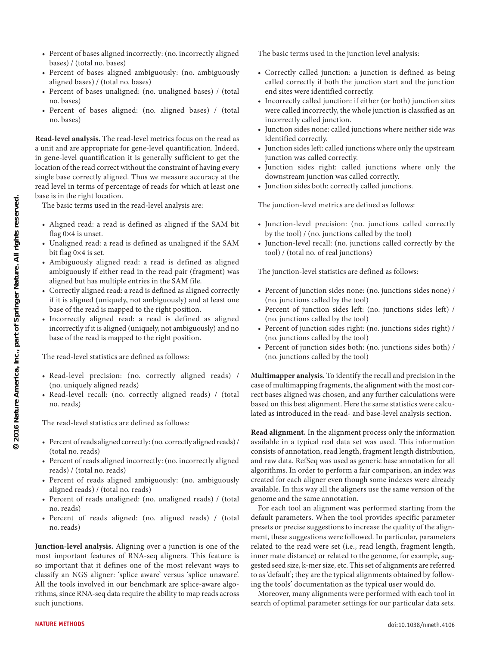- Percent of bases aligned incorrectly: (no. incorrectly aligned bases) / (total no. bases)
- Percent of bases aligned ambiguously: (no. ambiguously aligned bases) / (total no. bases)
- Percent of bases unaligned: (no. unaligned bases) / (total no. bases)
- Percent of bases aligned: (no. aligned bases) / (total no. bases)

**Read-level analysis.** The read-level metrics focus on the read as a unit and are appropriate for gene-level quantification. Indeed, in gene-level quantification it is generally sufficient to get the location of the read correct without the constraint of having every single base correctly aligned. Thus we measure accuracy at the read level in terms of percentage of reads for which at least one base is in the right location.

The basic terms used in the read-level analysis are:

- Aligned read: a read is defined as aligned if the SAM bit flag 0×4 is unset.
- Unaligned read: a read is defined as unaligned if the SAM bit flag 0×4 is set.
- Ambiguously aligned read: a read is defined as aligned ambiguously if either read in the read pair (fragment) was aligned but has multiple entries in the SAM file.
- Correctly aligned read: a read is defined as aligned correctly if it is aligned (uniquely, not ambiguously) and at least one base of the read is mapped to the right position.
- Incorrectly aligned read: a read is defined as aligned incorrectly if it is aligned (uniquely, not ambiguously) and no base of the read is mapped to the right position.

The read-level statistics are defined as follows:

- Read-level precision: (no. correctly aligned reads) / (no. uniquely aligned reads)
- Read-level recall: (no. correctly aligned reads) / (total no. reads)

The read-level statistics are defined as follows:

- Percent of reads aligned correctly: (no. correctly aligned reads) / (total no. reads)
- Percent of reads aligned incorrectly: (no. incorrectly aligned reads) / (total no. reads)
- Percent of reads aligned ambiguously: (no. ambiguously aligned reads) / (total no. reads)
- Percent of reads unaligned: (no. unaligned reads) / (total no. reads)
- Percent of reads aligned: (no. aligned reads) / (total no. reads)

**Junction-level analysis.** Aligning over a junction is one of the most important features of RNA-seq aligners. This feature is so important that it defines one of the most relevant ways to classify an NGS aligner: 'splice aware' versus 'splice unaware'. All the tools involved in our benchmark are splice-aware algorithms, since RNA-seq data require the ability to map reads across such junctions.

The basic terms used in the junction level analysis:

- Correctly called junction: a junction is defined as being called correctly if both the junction start and the junction end sites were identified correctly.
- Incorrectly called junction: if either (or both) junction sites were called incorrectly, the whole junction is classified as an incorrectly called junction.
- Junction sides none: called junctions where neither side was identified correctly.
- Junction sides left: called junctions where only the upstream junction was called correctly.
- Junction sides right: called junctions where only the downstream junction was called correctly.
- Junction sides both: correctly called junctions.

The junction-level metrics are defined as follows:

- Junction-level precision: (no. junctions called correctly by the tool) / (no. junctions called by the tool)
- Junction-level recall: (no. junctions called correctly by the tool) / (total no. of real junctions)

The junction-level statistics are defined as follows:

- Percent of junction sides none: (no. junctions sides none) / (no. junctions called by the tool)
- Percent of junction sides left: (no. junctions sides left) / (no. junctions called by the tool)
- Percent of junction sides right: (no. junctions sides right) / (no. junctions called by the tool)
- Percent of junction sides both: (no. junctions sides both) / (no. junctions called by the tool)

**Multimapper analysis.** To identify the recall and precision in the case of multimapping fragments, the alignment with the most correct bases aligned was chosen, and any further calculations were based on this best alignment. Here the same statistics were calculated as introduced in the read- and base-level analysis section.

**Read alignment.** In the alignment process only the information available in a typical real data set was used. This information consists of annotation, read length, fragment length distribution, and raw data. RefSeq was used as generic base annotation for all algorithms. In order to perform a fair comparison, an index was created for each aligner even though some indexes were already available. In this way all the aligners use the same version of the genome and the same annotation.

For each tool an alignment was performed starting from the default parameters. When the tool provides specific parameter presets or precise suggestions to increase the quality of the alignment, these suggestions were followed. In particular, parameters related to the read were set (i.e., read length, fragment length, inner mate distance) or related to the genome, for example, suggested seed size, k-mer size, etc. This set of alignments are referred to as 'default'; they are the typical alignments obtained by following the tools′ documentation as the typical user would do.

Moreover, many alignments were performed with each tool in search of optimal parameter settings for our particular data sets.